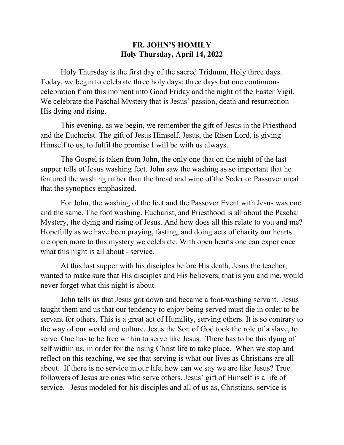## **FR. JOHN'S HOMILY Holy Thursday, April 14, 2022**

Holy Thursday is the first day of the sacred Triduum, Holy three days. Today, we begin to celebrate three holy days; three days but one continuous celebration from this moment into Good Friday and the night of the Easter Vigil. We celebrate the Paschal Mystery that is Jesus' passion, death and resurrection -- His dying and rising.

This evening, as we begin, we remember the gift of Jesus in the Priesthood and the Eucharist. The gift of Jesus Himself. Jesus, the Risen Lord, is giving Himself to us, to fulfil the promise I will be with us always.

The Gospel is taken from John, the only one that on the night of the last supper tells of Jesus washing feet. John saw the washing as so important that he featured the washing rather than the bread and wine of the Seder or Passover meal that the synoptics emphasized.

For John, the washing of the feet and the Passover Event with Jesus was one and the same. The foot washing, Eucharist, and Priesthood is all about the Paschal Mystery, the dying and rising of Jesus. And how does all this relate to you and me? Hopefully as we have been praying, fasting, and doing acts of charity our hearts are open more to this mystery we celebrate. With open hearts one can experience what this night is all about - service.

At this last supper with his disciples before His death, Jesus the teacher, wanted to make sure that His disciples and His believers, that is you and me, would never forget what this night is about.

John tells us that Jesus got down and became a foot-washing servant. Jesus taught them and us that our tendency to enjoy being served must die in order to be servant for others. This is a great act of Humility, serving others. It is so contrary to the way of our world and culture. Jesus the Son of God took the role of a slave, to serve. One has to be free within to serve like Jesus. There has to be this dying of self within us, in order for the rising Christ life to take place. When we stop and reflect on this teaching, we see that serving is what our lives as Christians are all about. If there is no service in our life, how can we say we are like Jesus? True followers of Jesus are ones who serve others. Jesus' gift of Himself is a life of service. Jesus modeled for his disciples and all of us as, Christians, service is